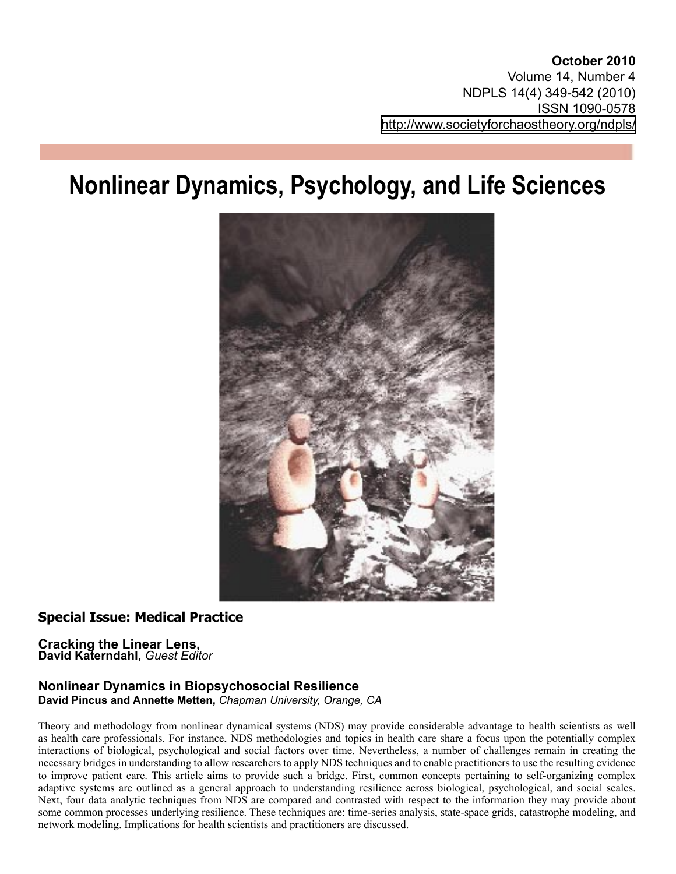**October 2010** Volume 14, Number 4 NDPLS 14(4) 349-542 (2010) ISSN 1090-0578 <http://www.societyforchaostheory.org/ndpls/>

# **Nonlinear Dynamics, Psychology, and Life Sciences**



# **Special Issue: Medical Practice**

#### **Cracking the Linear Lens, David Katerndahl,** *Guest Editor*

#### **Nonlinear Dynamics in Biopsychosocial Resilience David Pincus and Annette Metten,** *Chapman University, Orange, CA*

Theory and methodology from nonlinear dynamical systems (NDS) may provide considerable advantage to health scientists as well as health care professionals. For instance, NDS methodologies and topics in health care share a focus upon the potentially complex interactions of biological, psychological and social factors over time. Nevertheless, a number of challenges remain in creating the necessary bridges in understanding to allow researchers to apply NDS techniques and to enable practitioners to use the resulting evidence to improve patient care. This article aims to provide such a bridge. First, common concepts pertaining to self-organizing complex adaptive systems are outlined as a general approach to understanding resilience across biological, psychological, and social scales. Next, four data analytic techniques from NDS are compared and contrasted with respect to the information they may provide about some common processes underlying resilience. These techniques are: time-series analysis, state-space grids, catastrophe modeling, and network modeling. Implications for health scientists and practitioners are discussed.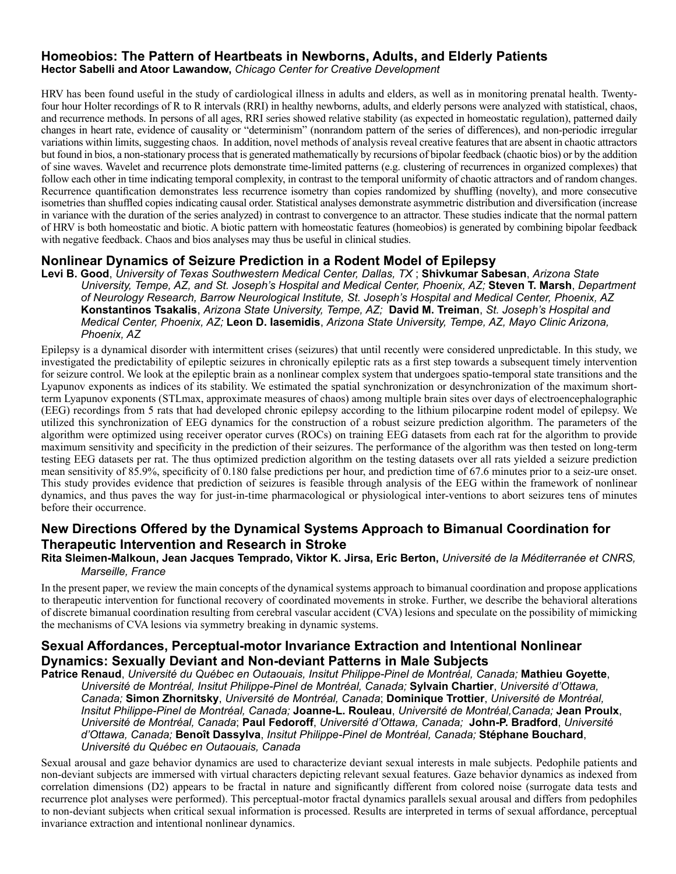#### **Homeobios: The Pattern of Heartbeats in Newborns, Adults, and Elderly Patients Hector Sabelli and Atoor Lawandow,** *Chicago Center for Creative Development*

HRV has been found useful in the study of cardiological illness in adults and elders, as well as in monitoring prenatal health. Twentyfour hour Holter recordings of R to R intervals (RRI) in healthy newborns, adults, and elderly persons were analyzed with statistical, chaos, and recurrence methods. In persons of all ages, RRI series showed relative stability (as expected in homeostatic regulation), patterned daily changes in heart rate, evidence of causality or "determinism" (nonrandom pattern of the series of differences), and non-periodic irregular variations within limits, suggesting chaos. In addition, novel methods of analysis reveal creative features that are absent in chaotic attractors but found in bios, a non-stationary process that is generated mathematically by recursions of bipolar feedback (chaotic bios) or by the addition of sine waves. Wavelet and recurrence plots demonstrate time-limited patterns (e.g. clustering of recurrences in organized complexes) that follow each other in time indicating temporal complexity, in contrast to the temporal uniformity of chaotic attractors and of random changes. Recurrence quantification demonstrates less recurrence isometry than copies randomized by shuffling (novelty), and more consecutive isometries than shuffled copies indicating causal order. Statistical analyses demonstrate asymmetric distribution and diversification (increase in variance with the duration of the series analyzed) in contrast to convergence to an attractor. These studies indicate that the normal pattern of HRV is both homeostatic and biotic. A biotic pattern with homeostatic features (homeobios) is generated by combining bipolar feedback with negative feedback. Chaos and bios analyses may thus be useful in clinical studies.

### **Nonlinear Dynamics of Seizure Prediction in a Rodent Model of Epilepsy**

**Levi B. Good**, *University of Texas Southwestern Medical Center, Dallas, TX* ; **Shivkumar Sabesan**, *Arizona State University, Tempe, AZ, and St. Joseph's Hospital and Medical Center, Phoenix, AZ;* **Steven T. Marsh**, *Department of Neurology Research, Barrow Neurological Institute, St. Joseph's Hospital and Medical Center, Phoenix, AZ* **Konstantinos Tsakalis**, *Arizona State University, Tempe, AZ;* **David M. Treiman**, *St. Joseph's Hospital and Medical Center, Phoenix, AZ;* **Leon D. Iasemidis**, *Arizona State University, Tempe, AZ, Mayo Clinic Arizona, Phoenix, AZ*

Epilepsy is a dynamical disorder with intermittent crises (seizures) that until recently were considered unpredictable. In this study, we investigated the predictability of epileptic seizures in chronically epileptic rats as a first step towards a subsequent timely intervention for seizure control. We look at the epileptic brain as a nonlinear complex system that undergoes spatio-temporal state transitions and the Lyapunov exponents as indices of its stability. We estimated the spatial synchronization or desynchronization of the maximum shortterm Lyapunov exponents (STLmax, approximate measures of chaos) among multiple brain sites over days of electroencephalographic (EEG) recordings from 5 rats that had developed chronic epilepsy according to the lithium pilocarpine rodent model of epilepsy. We utilized this synchronization of EEG dynamics for the construction of a robust seizure prediction algorithm. The parameters of the algorithm were optimized using receiver operator curves (ROCs) on training EEG datasets from each rat for the algorithm to provide maximum sensitivity and specificity in the prediction of their seizures. The performance of the algorithm was then tested on long-term testing EEG datasets per rat. The thus optimized prediction algorithm on the testing datasets over all rats yielded a seizure prediction mean sensitivity of 85.9%, specificity of 0.180 false predictions per hour, and prediction time of 67.6 minutes prior to a seiz-ure onset. This study provides evidence that prediction of seizures is feasible through analysis of the EEG within the framework of nonlinear dynamics, and thus paves the way for just-in-time pharmacological or physiological inter-ventions to abort seizures tens of minutes before their occurrence.

## **New Directions Offered by the Dynamical Systems Approach to Bimanual Coordination for Therapeutic Intervention and Research in Stroke**

#### **Rita Sleimen-Malkoun, Jean Jacques Temprado, Viktor K. Jirsa, Eric Berton,** *Université de la Méditerranée et CNRS, Marseille, France*

In the present paper, we review the main concepts of the dynamical systems approach to bimanual coordination and propose applications to therapeutic intervention for functional recovery of coordinated movements in stroke. Further, we describe the behavioral alterations of discrete bimanual coordination resulting from cerebral vascular accident (CVA) lesions and speculate on the possibility of mimicking the mechanisms of CVA lesions via symmetry breaking in dynamic systems.

## **Sexual Affordances, Perceptual-motor Invariance Extraction and Intentional Nonlinear Dynamics: Sexually Deviant and Non-deviant Patterns in Male Subjects**

**Patrice Renaud**, *Université du Québec en Outaouais, Insitut Philippe-Pinel de Montréal, Canada;* **Mathieu Goyette**, *Université de Montréal, Insitut Philippe-Pinel de Montréal, Canada;* **Sylvain Chartier**, *Université d'Ottawa, Canada;* **Simon Zhornitsky**, *Université de Montréal, Canada*; **Dominique Trottier**, *Université de Montréal, Insitut Philippe-Pinel de Montréal, Canada;* **Joanne-L. Rouleau**, *Université de Montréal,Canada;* **Jean Proulx**, *Université de Montréal, Canada*; **Paul Fedoroff**, *Université d'Ottawa, Canada;* **John-P. Bradford**, *Université d'Ottawa, Canada;* **Benoît Dassylva**, *Insitut Philippe-Pinel de Montréal, Canada;* **Stéphane Bouchard**, *Université du Québec en Outaouais, Canada*

Sexual arousal and gaze behavior dynamics are used to characterize deviant sexual interests in male subjects. Pedophile patients and non-deviant subjects are immersed with virtual characters depicting relevant sexual features. Gaze behavior dynamics as indexed from correlation dimensions (D2) appears to be fractal in nature and significantly different from colored noise (surrogate data tests and recurrence plot analyses were performed). This perceptual-motor fractal dynamics parallels sexual arousal and differs from pedophiles to non-deviant subjects when critical sexual information is processed. Results are interpreted in terms of sexual affordance, perceptual invariance extraction and intentional nonlinear dynamics.